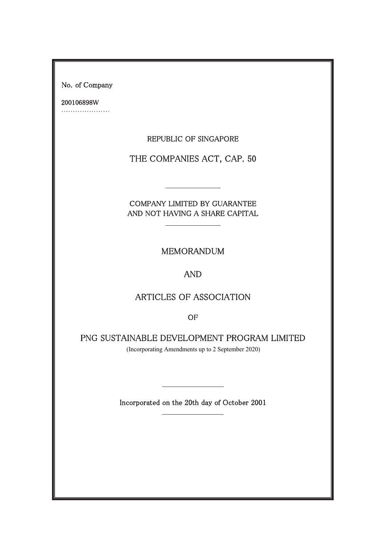No. of Company

200106898W 

REPUBLIC OF SINGAPORE

THE COMPANIES ACT, CAP. 50

COMPANY LIMITED BY GUARANTEE AND NOT HAVING A SHARE CAPITAL

MEMORANDUM

AND

# ARTICLES OF ASSOCIATION

OF

PNG SUSTAINABLE DEVELOPMENT PROGRAM LIMITED

(Incorporating Amendments up to 2 September 2020)

Incorporated on the 20th day of October 2001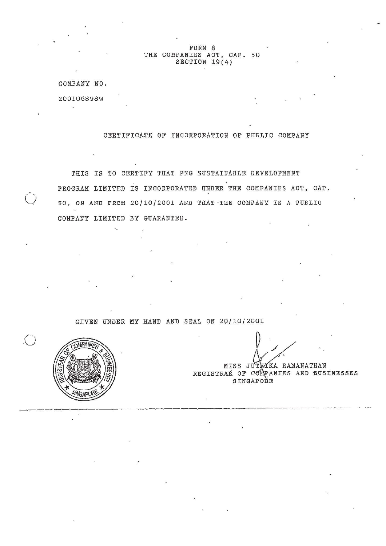FORM 8 THE COMPANIES ACT, CAP. 50 SECTION 19(4)

COMPANY NO.

200106098W

**COL** 

CERTIFICATE OF INCORPORATION OF PUBLIC COMPANY

THIS IS TO CERTIFY THAT PNG SUSTAINABLE DEVELOPMENT PROGRAM LIMITED IS INCORPORATED UNDER THE COMPANIES ACT, CAP. 50, ON AND FROM 20/10/2001 AND THAT -THE COMPANY IS A PUBLIC COMPANY LIMITED BY GUARANTEE.

GIVEN UNDER MY HAND AND SEAL ON 20/10/2001

COMPANIES  $\frac{2}{3}$ 

 $\mathbf{z}_1$ 

.<br>كا

MISS JUTTAKA RAMANATHAN REGISTRAR OF COMPANIES AND BUSINESSES SINGAPONE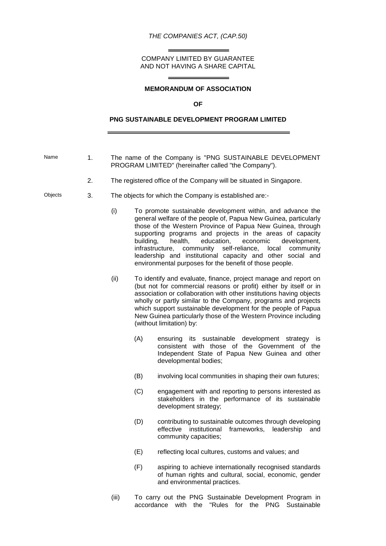*THE COMPANIES ACT, (CAP.50)*

COMPANY LIMITED BY GUARANTEE AND NOT HAVING A SHARE CAPITAL

 $=$ 

 $\overline{\phantom{0}}$ 

 $\equiv$ 

# **MEMORANDUM OF ASSOCIATION**

#### **OF**

# **PNG SUSTAINABLE DEVELOPMENT PROGRAM LIMITED**

| Name    | 1. |                                                                     |                                                                                                                                                                                                                                                                                                                                                                                                                                                                                                                              | The name of the Company is "PNG SUSTAINABLE DEVELOPMENT<br>PROGRAM LIMITED" (hereinafter called "the Company").                                                                   |  |  |
|---------|----|---------------------------------------------------------------------|------------------------------------------------------------------------------------------------------------------------------------------------------------------------------------------------------------------------------------------------------------------------------------------------------------------------------------------------------------------------------------------------------------------------------------------------------------------------------------------------------------------------------|-----------------------------------------------------------------------------------------------------------------------------------------------------------------------------------|--|--|
|         | 2. | The registered office of the Company will be situated in Singapore. |                                                                                                                                                                                                                                                                                                                                                                                                                                                                                                                              |                                                                                                                                                                                   |  |  |
| Objects | 3. | The objects for which the Company is established are:-              |                                                                                                                                                                                                                                                                                                                                                                                                                                                                                                                              |                                                                                                                                                                                   |  |  |
|         |    | (i)                                                                 | To promote sustainable development within, and advance the<br>general welfare of the people of, Papua New Guinea, particularly<br>those of the Western Province of Papua New Guinea, through<br>supporting programs and projects in the areas of capacity<br>education,<br>health,<br>economic<br>building,<br>development,<br>community<br>self-reliance,<br>infrastructure,<br>local<br>community<br>leadership and institutional capacity and other social and<br>environmental purposes for the benefit of those people. |                                                                                                                                                                                   |  |  |
|         |    | (ii)                                                                | To identify and evaluate, finance, project manage and report on<br>(but not for commercial reasons or profit) either by itself or in<br>association or collaboration with other institutions having objects<br>wholly or partly similar to the Company, programs and projects<br>which support sustainable development for the people of Papua<br>New Guinea particularly those of the Western Province including<br>(without limitation) by:                                                                                |                                                                                                                                                                                   |  |  |
|         |    |                                                                     | (A)                                                                                                                                                                                                                                                                                                                                                                                                                                                                                                                          | its sustainable development strategy is<br>ensuring<br>consistent with those of the Government of the<br>Independent State of Papua New Guinea and other<br>developmental bodies; |  |  |
|         |    |                                                                     | (B)                                                                                                                                                                                                                                                                                                                                                                                                                                                                                                                          | involving local communities in shaping their own futures;                                                                                                                         |  |  |
|         |    |                                                                     | (C)                                                                                                                                                                                                                                                                                                                                                                                                                                                                                                                          | engagement with and reporting to persons interested as<br>stakeholders in the performance of its sustainable<br>development strategy;                                             |  |  |
|         |    |                                                                     | (D)                                                                                                                                                                                                                                                                                                                                                                                                                                                                                                                          | contributing to sustainable outcomes through developing<br>leadership<br>effective<br>institutional<br>frameworks,<br>and<br>community capacities;                                |  |  |
|         |    |                                                                     | (E)                                                                                                                                                                                                                                                                                                                                                                                                                                                                                                                          | reflecting local cultures, customs and values; and                                                                                                                                |  |  |
|         |    |                                                                     | (F)                                                                                                                                                                                                                                                                                                                                                                                                                                                                                                                          | aspiring to achieve internationally recognised standards<br>of human rights and cultural, social, economic, gender<br>and environmental practices.                                |  |  |
|         |    | (iii)                                                               | accordance                                                                                                                                                                                                                                                                                                                                                                                                                                                                                                                   | To carry out the PNG Sustainable Development Program in<br>with the<br>"Rules for the PNG<br>Sustainable                                                                          |  |  |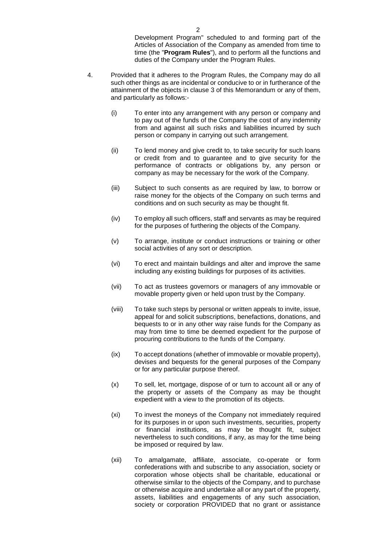Development Program" scheduled to and forming part of the Articles of Association of the Company as amended from time to time (the "**Program Rules**"), and to perform all the functions and duties of the Company under the Program Rules.

- 4. Provided that it adheres to the Program Rules, the Company may do all such other things as are incidental or conducive to or in furtherance of the attainment of the objects in clause 3 of this Memorandum or any of them, and particularly as follows:-
	- (i) To enter into any arrangement with any person or company and to pay out of the funds of the Company the cost of any indemnity from and against all such risks and liabilities incurred by such person or company in carrying out such arrangement.
	- (ii) To lend money and give credit to, to take security for such loans or credit from and to guarantee and to give security for the performance of contracts or obligations by, any person or company as may be necessary for the work of the Company.
	- (iii) Subject to such consents as are required by law, to borrow or raise money for the objects of the Company on such terms and conditions and on such security as may be thought fit.
	- (iv) To employ all such officers, staff and servants as may be required for the purposes of furthering the objects of the Company.
	- (v) To arrange, institute or conduct instructions or training or other social activities of any sort or description.
	- (vi) To erect and maintain buildings and alter and improve the same including any existing buildings for purposes of its activities.
	- (vii) To act as trustees governors or managers of any immovable or movable property given or held upon trust by the Company.
	- (viii) To take such steps by personal or written appeals to invite, issue, appeal for and solicit subscriptions, benefactions, donations, and bequests to or in any other way raise funds for the Company as may from time to time be deemed expedient for the purpose of procuring contributions to the funds of the Company.
	- (ix) To accept donations (whether of immovable or movable property), devises and bequests for the general purposes of the Company or for any particular purpose thereof.
	- (x) To sell, let, mortgage, dispose of or turn to account all or any of the property or assets of the Company as may be thought expedient with a view to the promotion of its objects.
	- (xi) To invest the moneys of the Company not immediately required for its purposes in or upon such investments, securities, property or financial institutions, as may be thought fit, subject nevertheless to such conditions, if any, as may for the time being be imposed or required by law.
	- (xii) To amalgamate, affiliate, associate, co-operate or form confederations with and subscribe to any association, society or corporation whose objects shall be charitable, educational or otherwise similar to the objects of the Company, and to purchase or otherwise acquire and undertake all or any part of the property, assets, liabilities and engagements of any such association, society or corporation PROVIDED that no grant or assistance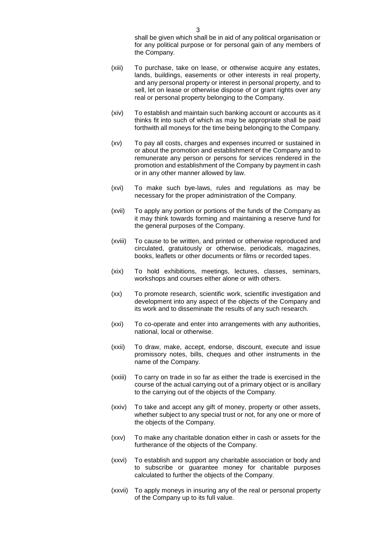shall be given which shall be in aid of any political organisation or for any political purpose or for personal gain of any members of the Company.

- (xiii) To purchase, take on lease, or otherwise acquire any estates, lands, buildings, easements or other interests in real property, and any personal property or interest in personal property, and to sell, let on lease or otherwise dispose of or grant rights over any real or personal property belonging to the Company.
- (xiv) To establish and maintain such banking account or accounts as it thinks fit into such of which as may be appropriate shall be paid forthwith all moneys for the time being belonging to the Company.
- (xv) To pay all costs, charges and expenses incurred or sustained in or about the promotion and establishment of the Company and to remunerate any person or persons for services rendered in the promotion and establishment of the Company by payment in cash or in any other manner allowed by law.
- (xvi) To make such bye-laws, rules and regulations as may be necessary for the proper administration of the Company.
- (xvii) To apply any portion or portions of the funds of the Company as it may think towards forming and maintaining a reserve fund for the general purposes of the Company.
- (xviii) To cause to be written, and printed or otherwise reproduced and circulated, gratuitously or otherwise, periodicals, magazines, books, leaflets or other documents or films or recorded tapes.
- (xix) To hold exhibitions, meetings, lectures, classes, seminars, workshops and courses either alone or with others.
- (xx) To promote research, scientific work, scientific investigation and development into any aspect of the objects of the Company and its work and to disseminate the results of any such research.
- (xxi) To co-operate and enter into arrangements with any authorities, national, local or otherwise.
- (xxii) To draw, make, accept, endorse, discount, execute and issue promissory notes, bills, cheques and other instruments in the name of the Company.
- (xxiii) To carry on trade in so far as either the trade is exercised in the course of the actual carrying out of a primary object or is ancillary to the carrying out of the objects of the Company.
- (xxiv) To take and accept any gift of money, property or other assets, whether subject to any special trust or not, for any one or more of the objects of the Company.
- (xxv) To make any charitable donation either in cash or assets for the furtherance of the objects of the Company.
- (xxvi) To establish and support any charitable association or body and to subscribe or guarantee money for charitable purposes calculated to further the objects of the Company.
- (xxvii) To apply moneys in insuring any of the real or personal property of the Company up to its full value.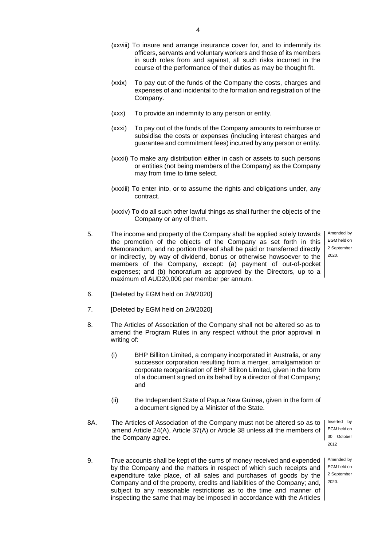- (xxviii) To insure and arrange insurance cover for, and to indemnify its officers, servants and voluntary workers and those of its members in such roles from and against, all such risks incurred in the course of the performance of their duties as may be thought fit.
- (xxix) To pay out of the funds of the Company the costs, charges and expenses of and incidental to the formation and registration of the Company.
- (xxx) To provide an indemnity to any person or entity.
- (xxxi) To pay out of the funds of the Company amounts to reimburse or subsidise the costs or expenses (including interest charges and guarantee and commitment fees) incurred by any person or entity.
- (xxxii) To make any distribution either in cash or assets to such persons or entities (not being members of the Company) as the Company may from time to time select.
- (xxxiii) To enter into, or to assume the rights and obligations under, any contract.
- (xxxiv) To do all such other lawful things as shall further the objects of the Company or any of them.
- 5. The income and property of the Company shall be applied solely towards the promotion of the objects of the Company as set forth in this Memorandum, and no portion thereof shall be paid or transferred directly or indirectly, by way of dividend, bonus or otherwise howsoever to the members of the Company, except: (a) payment of out-of-pocket expenses; and (b) honorarium as approved by the Directors, up to a maximum of AUD20,000 per member per annum.

Amended by EGM held on 2 September 2020.

- 6. [Deleted by EGM held on 2/9/2020]
- 7. [Deleted by EGM held on 2/9/2020]
- 8. The Articles of Association of the Company shall not be altered so as to amend the Program Rules in any respect without the prior approval in writing of:
	- (i) BHP Billiton Limited, a company incorporated in Australia, or any successor corporation resulting from a merger, amalgamation or corporate reorganisation of BHP Billiton Limited, given in the form of a document signed on its behalf by a director of that Company; and
	- (ii) the Independent State of Papua New Guinea, given in the form of a document signed by a Minister of the State.
- 8A. The Articles of Association of the Company must not be altered so as to amend Article 24(A), Article 37(A) or Article 38 unless all the members of the Company agree.

Inserted by EGM held on 30 October 2012

Amended by EGM held on 2 September 2020.

9. True accounts shall be kept of the sums of money received and expended by the Company and the matters in respect of which such receipts and expenditure take place, of all sales and purchases of goods by the Company and of the property, credits and liabilities of the Company; and, subject to any reasonable restrictions as to the time and manner of inspecting the same that may be imposed in accordance with the Articles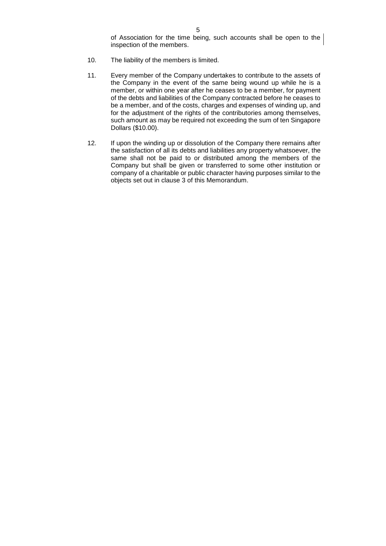of Association for the time being, such accounts shall be open to the inspection of the members.

- 10. The liability of the members is limited.
- 11. Every member of the Company undertakes to contribute to the assets of the Company in the event of the same being wound up while he is a member, or within one year after he ceases to be a member, for payment of the debts and liabilities of the Company contracted before he ceases to be a member, and of the costs, charges and expenses of winding up, and for the adjustment of the rights of the contributories among themselves, such amount as may be required not exceeding the sum of ten Singapore Dollars (\$10.00).
- 12. If upon the winding up or dissolution of the Company there remains after the satisfaction of all its debts and liabilities any property whatsoever, the same shall not be paid to or distributed among the members of the Company but shall be given or transferred to some other institution or company of a charitable or public character having purposes similar to the objects set out in clause 3 of this Memorandum.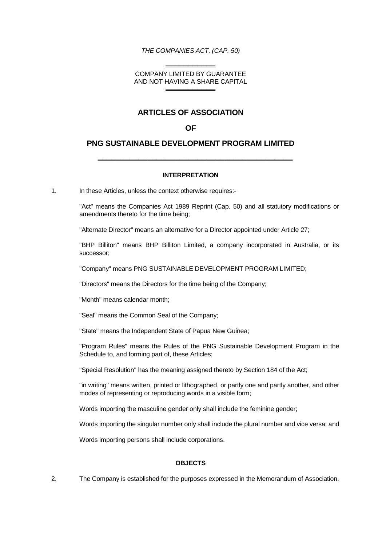## *THE COMPANIES ACT, (CAP. 50)*

#### ══════════════ COMPANY LIMITED BY GUARANTEE AND NOT HAVING A SHARE CAPITAL ══════════════

# **ARTICLES OF ASSOCIATION**

# **OF**

# **PNG SUSTAINABLE DEVELOPMENT PROGRAM LIMITED**

## **INTERPRETATION**

═══════════════════════════════════════════

1. In these Articles, unless the context otherwise requires:-

"Act" means the Companies Act 1989 Reprint (Cap. 50) and all statutory modifications or amendments thereto for the time being;

"Alternate Director" means an alternative for a Director appointed under Article 27;

"BHP Billiton" means BHP Billiton Limited, a company incorporated in Australia, or its successor;

"Company" means PNG SUSTAINABLE DEVELOPMENT PROGRAM LIMITED;

"Directors" means the Directors for the time being of the Company;

"Month" means calendar month;

"Seal" means the Common Seal of the Company;

"State" means the Independent State of Papua New Guinea;

"Program Rules" means the Rules of the PNG Sustainable Development Program in the Schedule to, and forming part of, these Articles;

"Special Resolution" has the meaning assigned thereto by Section 184 of the Act;

"in writing" means written, printed or lithographed, or partly one and partly another, and other modes of representing or reproducing words in a visible form;

Words importing the masculine gender only shall include the feminine gender;

Words importing the singular number only shall include the plural number and vice versa; and

Words importing persons shall include corporations.

#### **OBJECTS**

2. The Company is established for the purposes expressed in the Memorandum of Association.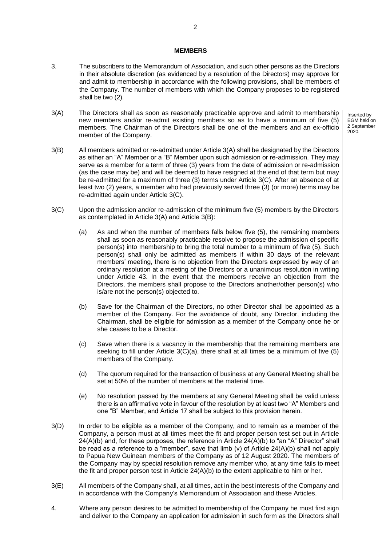#### **MEMBERS**

- 3. The subscribers to the Memorandum of Association, and such other persons as the Directors in their absolute discretion (as evidenced by a resolution of the Directors) may approve for and admit to membership in accordance with the following provisions, shall be members of the Company. The number of members with which the Company proposes to be registered shall be two (2).
- 3(A) The Directors shall as soon as reasonably practicable approve and admit to membership new members and/or re-admit existing members so as to have a minimum of five (5) members. The Chairman of the Directors shall be one of the members and an ex-officio member of the Company.
- 3(B) All members admitted or re-admitted under Article 3(A) shall be designated by the Directors as either an "A" Member or a "B" Member upon such admission or re-admission. They may serve as a member for a term of three (3) years from the date of admission or re-admission (as the case may be) and will be deemed to have resigned at the end of that term but may be re-admitted for a maximum of three (3) terms under Article 3(C). After an absence of at least two (2) years, a member who had previously served three (3) (or more) terms may be re-admitted again under Article 3(C).
- 3(C) Upon the admission and/or re-admission of the minimum five (5) members by the Directors as contemplated in Article 3(A) and Article 3(B):
	- (a) As and when the number of members falls below five (5), the remaining members shall as soon as reasonably practicable resolve to propose the admission of specific person(s) into membership to bring the total number to a minimum of five (5). Such person(s) shall only be admitted as members if within 30 days of the relevant members' meeting, there is no objection from the Directors expressed by way of an ordinary resolution at a meeting of the Directors or a unanimous resolution in writing under Article 43. In the event that the members receive an objection from the Directors, the members shall propose to the Directors another/other person(s) who is/are not the person(s) objected to.
	- (b) Save for the Chairman of the Directors, no other Director shall be appointed as a member of the Company. For the avoidance of doubt, any Director, including the Chairman, shall be eligible for admission as a member of the Company once he or she ceases to be a Director.
	- (c) Save when there is a vacancy in the membership that the remaining members are seeking to fill under Article  $3(C)(a)$ , there shall at all times be a minimum of five (5) members of the Company.
	- (d) The quorum required for the transaction of business at any General Meeting shall be set at 50% of the number of members at the material time.
	- (e) No resolution passed by the members at any General Meeting shall be valid unless there is an affirmative vote in favour of the resolution by at least two "A" Members and one "B" Member, and Article 17 shall be subject to this provision herein.
- 3(D) In order to be eligible as a member of the Company, and to remain as a member of the Company, a person must at all times meet the fit and proper person test set out in Article 24(A)(b) and, for these purposes, the reference in Article 24(A)(b) to "an "A" Director" shall be read as a reference to a "member", save that limb (v) of Article 24(A)(b) shall not apply to Papua New Guinean members of the Company as of 12 August 2020. The members of the Company may by special resolution remove any member who, at any time fails to meet the fit and proper person test in Article  $24(A)(b)$  to the extent applicable to him or her.
- 3(E) All members of the Company shall, at all times, act in the best interests of the Company and in accordance with the Company's Memorandum of Association and these Articles.
- 4. Where any person desires to be admitted to membership of the Company he must first sign and deliver to the Company an application for admission in such form as the Directors shall

Inserted by EGM held on 2 September

2020.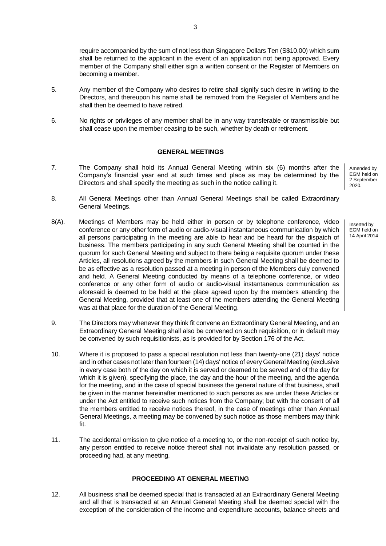require accompanied by the sum of not less than Singapore Dollars Ten (S\$10.00) which sum shall be returned to the applicant in the event of an application not being approved. Every member of the Company shall either sign a written consent or the Register of Members on becoming a member.

- 5. Any member of the Company who desires to retire shall signify such desire in writing to the Directors, and thereupon his name shall be removed from the Register of Members and he shall then be deemed to have retired.
- 6. No rights or privileges of any member shall be in any way transferable or transmissible but shall cease upon the member ceasing to be such, whether by death or retirement.

#### **GENERAL MEETINGS**

- 7. The Company shall hold its Annual General Meeting within six (6) months after the Company's financial year end at such times and place as may be determined by the Directors and shall specify the meeting as such in the notice calling it.
- 8. All General Meetings other than Annual General Meetings shall be called Extraordinary General Meetings.
- 8(A). Meetings of Members may be held either in person or by telephone conference, video conference or any other form of audio or audio-visual instantaneous communication by which all persons participating in the meeting are able to hear and be heard for the dispatch of business. The members participating in any such General Meeting shall be counted in the quorum for such General Meeting and subject to there being a requisite quorum under these Articles, all resolutions agreed by the members in such General Meeting shall be deemed to be as effective as a resolution passed at a meeting in person of the Members duly convened and held. A General Meeting conducted by means of a telephone conference, or video conference or any other form of audio or audio-visual instantaneous communication as aforesaid is deemed to be held at the place agreed upon by the members attending the General Meeting, provided that at least one of the members attending the General Meeting was at that place for the duration of the General Meeting.
- 9. The Directors may whenever they think fit convene an Extraordinary General Meeting, and an Extraordinary General Meeting shall also be convened on such requisition, or in default may be convened by such requisitionists, as is provided for by Section 176 of the Act.
- 10. Where it is proposed to pass a special resolution not less than twenty-one (21) days' notice and in other cases not later than fourteen (14) days' notice of every General Meeting (exclusive in every case both of the day on which it is served or deemed to be served and of the day for which it is given), specifying the place, the day and the hour of the meeting, and the agenda for the meeting, and in the case of special business the general nature of that business, shall be given in the manner hereinafter mentioned to such persons as are under these Articles or under the Act entitled to receive such notices from the Company; but with the consent of all the members entitled to receive notices thereof, in the case of meetings other than Annual General Meetings, a meeting may be convened by such notice as those members may think fit.
- 11. The accidental omission to give notice of a meeting to, or the non-receipt of such notice by, any person entitled to receive notice thereof shall not invalidate any resolution passed, or proceeding had, at any meeting.

#### **PROCEEDING AT GENERAL MEETING**

12. All business shall be deemed special that is transacted at an Extraordinary General Meeting and all that is transacted at an Annual General Meeting shall be deemed special with the exception of the consideration of the income and expenditure accounts, balance sheets and Amended by EGM held on 2 September 2020.

Inserted by EGM held on 14 April 2014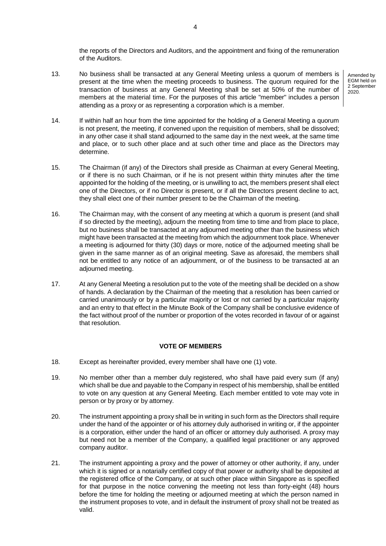the reports of the Directors and Auditors, and the appointment and fixing of the remuneration of the Auditors.

- 13. No business shall be transacted at any General Meeting unless a quorum of members is present at the time when the meeting proceeds to business. The quorum required for the transaction of business at any General Meeting shall be set at 50% of the number of members at the material time. For the purposes of this article "member" includes a person attending as a proxy or as representing a corporation which is a member.
- 14. If within half an hour from the time appointed for the holding of a General Meeting a quorum is not present, the meeting, if convened upon the requisition of members, shall be dissolved; in any other case it shall stand adjourned to the same day in the next week, at the same time and place, or to such other place and at such other time and place as the Directors may determine.
- 15. The Chairman (if any) of the Directors shall preside as Chairman at every General Meeting, or if there is no such Chairman, or if he is not present within thirty minutes after the time appointed for the holding of the meeting, or is unwilling to act, the members present shall elect one of the Directors, or if no Director is present, or if all the Directors present decline to act, they shall elect one of their number present to be the Chairman of the meeting.
- 16. The Chairman may, with the consent of any meeting at which a quorum is present (and shall if so directed by the meeting), adjourn the meeting from time to time and from place to place, but no business shall be transacted at any adjourned meeting other than the business which might have been transacted at the meeting from which the adjournment took place. Whenever a meeting is adjourned for thirty (30) days or more, notice of the adjourned meeting shall be given in the same manner as of an original meeting. Save as aforesaid, the members shall not be entitled to any notice of an adjournment, or of the business to be transacted at an adjourned meeting.
- 17. At any General Meeting a resolution put to the vote of the meeting shall be decided on a show of hands. A declaration by the Chairman of the meeting that a resolution has been carried or carried unanimously or by a particular majority or lost or not carried by a particular majority and an entry to that effect in the Minute Book of the Company shall be conclusive evidence of the fact without proof of the number or proportion of the votes recorded in favour of or against that resolution.

#### **VOTE OF MEMBERS**

- 18. Except as hereinafter provided, every member shall have one (1) vote.
- 19. No member other than a member duly registered, who shall have paid every sum (if any) which shall be due and payable to the Company in respect of his membership, shall be entitled to vote on any question at any General Meeting. Each member entitled to vote may vote in person or by proxy or by attorney.
- 20. The instrument appointing a proxy shall be in writing in such form as the Directors shall require under the hand of the appointer or of his attorney duly authorised in writing or, if the appointer is a corporation, either under the hand of an officer or attorney duly authorised. A proxy may but need not be a member of the Company, a qualified legal practitioner or any approved company auditor.
- 21. The instrument appointing a proxy and the power of attorney or other authority, if any, under which it is signed or a notarially certified copy of that power or authority shall be deposited at the registered office of the Company, or at such other place within Singapore as is specified for that purpose in the notice convening the meeting not less than forty-eight (48) hours before the time for holding the meeting or adjourned meeting at which the person named in the instrument proposes to vote, and in default the instrument of proxy shall not be treated as valid.

4

Amended by EGM held on 2 September 2020.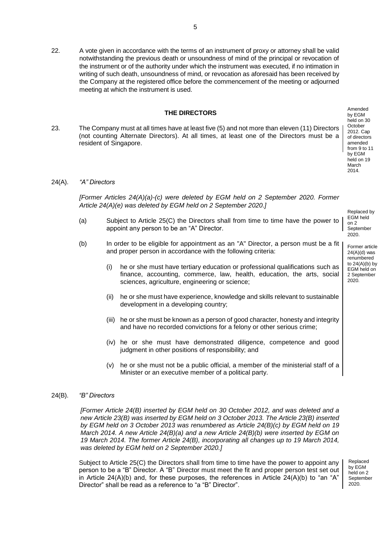22. A vote given in accordance with the terms of an instrument of proxy or attorney shall be valid notwithstanding the previous death or unsoundness of mind of the principal or revocation of the instrument or of the authority under which the instrument was executed, if no intimation in writing of such death, unsoundness of mind, or revocation as aforesaid has been received by the Company at the registered office before the commencement of the meeting or adjourned meeting at which the instrument is used.

#### **THE DIRECTORS**

23. The Company must at all times have at least five (5) and not more than eleven (11) Directors (not counting Alternate Directors). At all times, at least one of the Directors must be a resident of Singapore.

Amended by EGM held on 30 **October** 2012. Cap of directors amended from 9 to 11 by EGM held on 19 March 2014.

#### 24(A). *"A" Directors*

*[Former Articles 24(A)(a)-(c) were deleted by EGM held on 2 September 2020. Former Article 24(A)(e) was deleted by EGM held on 2 September 2020.]*

- (a) Subject to Article 25(C) the Directors shall from time to time have the power to appoint any person to be an "A" Director.
- (b) In order to be eligible for appointment as an "A" Director, a person must be a fit and proper person in accordance with the following criteria:
	- (i) he or she must have tertiary education or professional qualifications such as finance, accounting, commerce, law, health, education, the arts, social sciences, agriculture, engineering or science;
	- (ii) he or she must have experience, knowledge and skills relevant to sustainable development in a developing country;
	- (iii) he or she must be known as a person of good character, honesty and integrity and have no recorded convictions for a felony or other serious crime;
	- (iv) he or she must have demonstrated diligence, competence and good judgment in other positions of responsibility; and
	- (v) he or she must not be a public official, a member of the ministerial staff of a Minister or an executive member of a political party.

#### 24(B). *"B" Directors*

*[Former Article 24(B) inserted by EGM held on 30 October 2012, and was deleted and a new Article 23(B) was inserted by EGM held on 3 October 2013. The Article 23(B) inserted by EGM held on 3 October 2013 was renumbered as Article 24(B)(c) by EGM held on 19 March 2014. A new Article 24(B)(a) and a new Article 24(B)(b) were inserted by EGM on 19 March 2014. The former Article 24(B), incorporating all changes up to 19 March 2014, was deleted by EGM held on 2 September 2020.]*

Subject to Article 25(C) the Directors shall from time to time have the power to appoint any person to be a "B" Director. A "B" Director must meet the fit and proper person test set out in Article  $24(A)(b)$  and, for these purposes, the references in Article  $24(A)(b)$  to "an "A" Director" shall be read as a reference to "a "B" Director".

Replaced by EGM held on 2 September 2020.

Former article 24(A)(d) was renumbered to 24(A)(b) by EGM held on 2 September 2020.

Replaced by EGM held on 2 September 2020.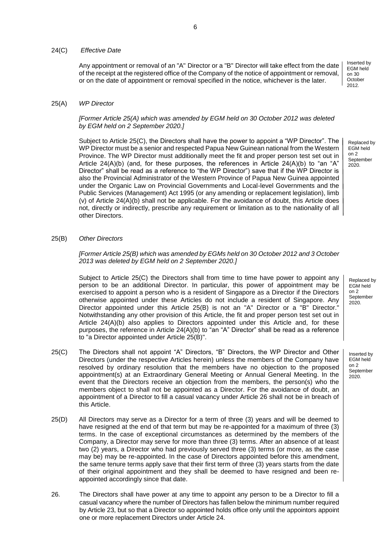#### 24(C) *Effective Date*

Any appointment or removal of an "A" Director or a "B" Director will take effect from the date of the receipt at the registered office of the Company of the notice of appointment or removal, or on the date of appointment or removal specified in the notice, whichever is the later.

#### 25(A) *WP Director*

*[Former Article 25(A) which was amended by EGM held on 30 October 2012 was deleted by EGM held on 2 September 2020.]*

Subject to Article 25(C), the Directors shall have the power to appoint a "WP Director". The WP Director must be a senior and respected Papua New Guinean national from the Western Province. The WP Director must additionally meet the fit and proper person test set out in Article  $24(A)(b)$  (and, for these purposes, the references in Article  $24(A)(b)$  to "an "A" Director" shall be read as a reference to "the WP Director") save that if the WP Director is also the Provincial Administrator of the Western Province of Papua New Guinea appointed under the Organic Law on Provincial Governments and Local-level Governments and the Public Services (Management) Act 1995 (or any amending or replacement legislation), limb (v) of Article 24(A)(b) shall not be applicable. For the avoidance of doubt, this Article does not, directly or indirectly, prescribe any requirement or limitation as to the nationality of all other Directors.

25(B) *Other Directors*

*[Former Article 25(B) which was amended by EGMs held on 30 October 2012 and 3 October 2013 was deleted by EGM held on 2 September 2020.]*

Subject to Article 25(C) the Directors shall from time to time have power to appoint any person to be an additional Director. In particular, this power of appointment may be exercised to appoint a person who is a resident of Singapore as a Director if the Directors otherwise appointed under these Articles do not include a resident of Singapore. Any Director appointed under this Article 25(B) is not an "A" Director or a "B" Director." Notwithstanding any other provision of this Article, the fit and proper person test set out in Article 24(A)(b) also applies to Directors appointed under this Article and, for these purposes, the reference in Article 24(A)(b) to "an "A" Director" shall be read as a reference to "a Director appointed under Article 25(B)".

- 25(C) The Directors shall not appoint "A" Directors, "B" Directors, the WP Director and Other Directors (under the respective Articles herein) unless the members of the Company have resolved by ordinary resolution that the members have no objection to the proposed appointment(s) at an Extraordinary General Meeting or Annual General Meeting. In the event that the Directors receive an objection from the members, the person(s) who the members object to shall not be appointed as a Director. For the avoidance of doubt, an appointment of a Director to fill a casual vacancy under Article 26 shall not be in breach of this Article.
- 25(D) All Directors may serve as a Director for a term of three (3) years and will be deemed to have resigned at the end of that term but may be re-appointed for a maximum of three (3) terms. In the case of exceptional circumstances as determined by the members of the Company, a Director may serve for more than three (3) terms. After an absence of at least two (2) years, a Director who had previously served three (3) terms (or more, as the case may be) may be re-appointed. In the case of Directors appointed before this amendment, the same tenure terms apply save that their first term of three (3) years starts from the date of their original appointment and they shall be deemed to have resigned and been reappointed accordingly since that date.
- 26. The Directors shall have power at any time to appoint any person to be a Director to fill a casual vacancy where the number of Directors has fallen below the minimum number required by Article 23, but so that a Director so appointed holds office only until the appointors appoint one or more replacement Directors under Article 24.

Replaced by EGM held on 2 September 2020.

Inserted by EGM held on 30 **October** 2012.

Replaced by EGM held on 2 September 2020.

Inserted by EGM held on 2 September 2020.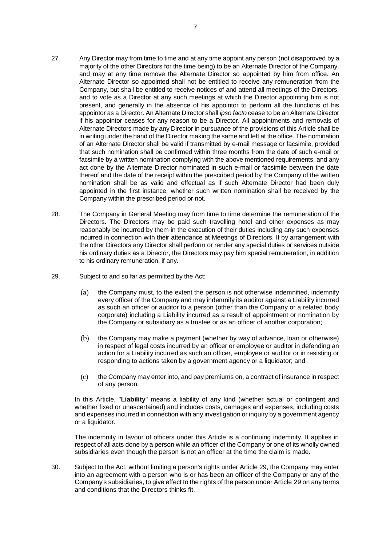- 27. Any Director may from time to time and at any time appoint any person (not disapproved by a majority of the other Directors for the time being) to be an Alternate Director of the Company, and may at any time remove the Alternate Director so appointed by him from office. An Alternate Director so appointed shall not be entitled to receive any remuneration from the Company, but shall be entitled to receive notices of and attend all meetings of the Directors, and to vote as a Director at any such meetings at which the Director appointing him is not present, and generally in the absence of his appointor to perform all the functions of his appointor as a Director. An Alternate Director shall *ipso facto* cease to be an Alternate Director if his appointor ceases for any reason to be a Director. All appointments and removals of Alternate Directors made by any Director in pursuance of the provisions of this Article shall be in writing under the hand of the Director making the same and left at the office. The nomination of an Alternate Director shall be valid if transmitted by e-mail message or facsimile, provided that such nomination shall be confirmed within three months from the date of such e-mail or facsimile by a written nomination complying with the above mentioned requirements, and any act done by the Alternate Director nominated in such e-mail or facsimile between the date thereof and the date of the receipt within the prescribed period by the Company of the written nomination shall be as valid and effectual as if such Alternate Director had been duly appointed in the first instance, whether such written nomination shall be received by the Company within the prescribed period or not.
- 28. The Company in General Meeting may from time to time determine the remuneration of the Directors. The Directors may be paid such travelling hotel and other expenses as may reasonably be incurred by them in the execution of their duties including any such expenses incurred in connection with their attendance at Meetings of Directors. If by arrangement with the other Directors any Director shall perform or render any special duties or services outside his ordinary duties as a Director, the Directors may pay him special remuneration, in addition to his ordinary remuneration, if any.
- 29. Subject to and so far as permitted by the Act:
	- (a) the Company must, to the extent the person is not otherwise indemnified, indemnify every officer of the Company and may indemnify its auditor against a Liability incurred as such an officer or auditor to a person (other than the Company or a related body corporate) including a Liability incurred as a result of appointment or nomination by the Company or subsidiary as a trustee or as an officer of another corporation;
	- (b) the Company may make a payment (whether by way of advance, loan or otherwise) in respect of legal costs incurred by an officer or employee or auditor in defending an action for a Liability incurred as such an officer, employee or auditor or in resisting or responding to actions taken by a government agency or a liquidator; and
	- (c) the Company may enter into, and pay premiums on, a contract of insurance in respect of any person.

In this Article, "**Liability**" means a liability of any kind (whether actual or contingent and whether fixed or unascertained) and includes costs, damages and expenses, including costs and expenses incurred in connection with any investigation or inquiry by a government agency or a liquidator.

The indemnity in favour of officers under this Article is a continuing indemnity. It applies in respect of all acts done by a person while an officer of the Company or one of its wholly owned subsidiaries even though the person is not an officer at the time the claim is made.

30. Subject to the Act, without limiting a person's rights under Article 29, the Company may enter into an agreement with a person who is or has been an officer of the Company or any of the Company's subsidiaries, to give effect to the rights of the person under Article 29 on any terms and conditions that the Directors thinks fit.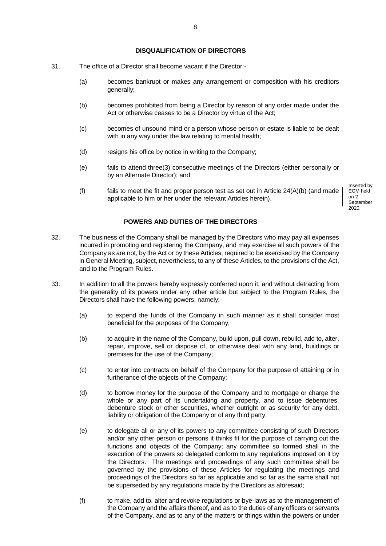#### **DISQUALIFICATION OF DIRECTORS**

- 31. The office of a Director shall become vacant if the Director:-
	- (a) becomes bankrupt or makes any arrangement or composition with his creditors generally:
	- (b) becomes prohibited from being a Director by reason of any order made under the Act or otherwise ceases to be a Director by virtue of the Act:
	- (c) becomes of unsound mind or a person whose person or estate is liable to be dealt with in any way under the law relating to mental health;
	- (d) resigns his office by notice in writing to the Company;
	- (e) fails to attend three(3) consecutive meetings of the Directors (either personally or by an Alternate Director); and
	- (f) fails to meet the fit and proper person test as set out in Article  $24(A)(b)$  (and made applicable to him or her under the relevant Articles herein).

Inserted by EGM held on 2 September 2020.

## **POWERS AND DUTIES OF THE DIRECTORS**

- 32. The business of the Company shall be managed by the Directors who may pay all expenses incurred in promoting and registering the Company, and may exercise all such powers of the Company as are not, by the Act or by these Articles, required to be exercised by the Company in General Meeting, subject, nevertheless, to any of these Articles, to the provisions of the Act, and to the Program Rules.
- 33. In addition to all the powers hereby expressly conferred upon it, and without detracting from the generality of its powers under any other article but subject to the Program Rules, the Directors shall have the following powers, namely:-
	- (a) to expend the funds of the Company in such manner as it shall consider most beneficial for the purposes of the Company;
	- (b) to acquire in the name of the Company, build upon, pull down, rebuild, add to, alter, repair, improve, sell or dispose of, or otherwise deal with any land, buildings or premises for the use of the Company;
	- (c) to enter into contracts on behalf of the Company for the purpose of attaining or in furtherance of the objects of the Company;
	- (d) to borrow money for the purpose of the Company and to mortgage or charge the whole or any part of its undertaking and property, and to issue debentures, debenture stock or other securities, whether outright or as security for any debt, liability or obligation of the Company or of any third party;
	- (e) to delegate all or any of its powers to any committee consisting of such Directors and/or any other person or persons it thinks fit for the purpose of carrying out the functions and objects of the Company; any committee so formed shall in the execution of the powers so delegated conform to any regulations imposed on it by the Directors. The meetings and proceedings of any such committee shall be governed by the provisions of these Articles for regulating the meetings and proceedings of the Directors so far as applicable and so far as the same shall not be superseded by any regulations made by the Directors as aforesaid;
	- (f) to make, add to, alter and revoke regulations or bye-laws as to the management of the Company and the affairs thereof, and as to the duties of any officers or servants of the Company, and as to any of the matters or things within the powers or under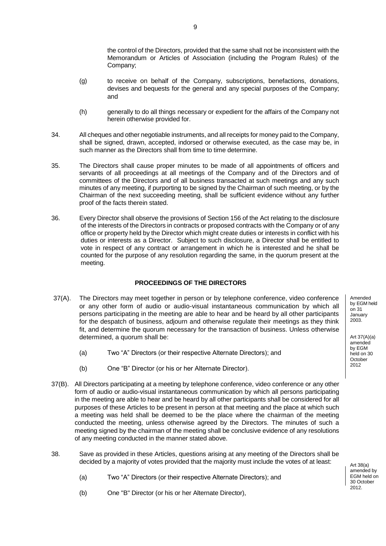the control of the Directors, provided that the same shall not be inconsistent with the Memorandum or Articles of Association (including the Program Rules) of the Company;

- (g) to receive on behalf of the Company, subscriptions, benefactions, donations, devises and bequests for the general and any special purposes of the Company; and
- (h) generally to do all things necessary or expedient for the affairs of the Company not herein otherwise provided for.
- 34. All cheques and other negotiable instruments, and all receipts for money paid to the Company, shall be signed, drawn, accepted, indorsed or otherwise executed, as the case may be, in such manner as the Directors shall from time to time determine.
- 35. The Directors shall cause proper minutes to be made of all appointments of officers and servants of all proceedings at all meetings of the Company and of the Directors and of committees of the Directors and of all business transacted at such meetings and any such minutes of any meeting, if purporting to be signed by the Chairman of such meeting, or by the Chairman of the next succeeding meeting, shall be sufficient evidence without any further proof of the facts therein stated.
- 36. Every Director shall observe the provisions of Section 156 of the Act relating to the disclosure of the interests of the Directors in contracts or proposed contracts with the Company or of any office or property held by the Director which might create duties or interests in conflict with his duties or interests as a Director. Subject to such disclosure, a Director shall be entitled to vote in respect of any contract or arrangement in which he is interested and he shall be counted for the purpose of any resolution regarding the same, in the quorum present at the meeting.

# **PROCEEDINGS OF THE DIRECTORS**

- 37(A). The Directors may meet together in person or by telephone conference, video conference or any other form of audio or audio-visual instantaneous communication by which all persons participating in the meeting are able to hear and be heard by all other participants for the despatch of business, adjourn and otherwise regulate their meetings as they think fit, and determine the quorum necessary for the transaction of business. Unless otherwise determined, a quorum shall be:
	- (a) Two "A" Directors (or their respective Alternate Directors); and
	- (b) One "B" Director (or his or her Alternate Director).
- 37(B). All Directors participating at a meeting by telephone conference, video conference or any other form of audio or audio-visual instantaneous communication by which all persons participating in the meeting are able to hear and be heard by all other participants shall be considered for all purposes of these Articles to be present in person at that meeting and the place at which such a meeting was held shall be deemed to be the place where the chairman of the meeting conducted the meeting, unless otherwise agreed by the Directors. The minutes of such a meeting signed by the chairman of the meeting shall be conclusive evidence of any resolutions of any meeting conducted in the manner stated above.
- 38. Save as provided in these Articles, questions arising at any meeting of the Directors shall be decided by a majority of votes provided that the majority must include the votes of at least:
	- (a) Two "A" Directors (or their respective Alternate Directors); and
	- (b) One "B" Director (or his or her Alternate Director),

Amended by EGM held on 31 January 2003.

Art 37(A)(a) amended by EGM  $held$  on 30 **October** 2012

Art 38(a) amended by EGM held on 30 October 2012.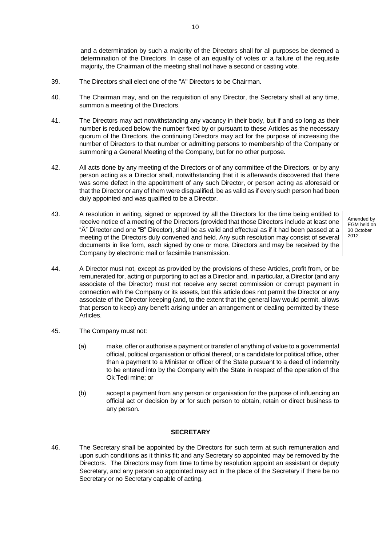and a determination by such a majority of the Directors shall for all purposes be deemed a determination of the Directors. In case of an equality of votes or a failure of the requisite majority, the Chairman of the meeting shall not have a second or casting vote.

- 39. The Directors shall elect one of the "A" Directors to be Chairman.
- 40. The Chairman may, and on the requisition of any Director, the Secretary shall at any time, summon a meeting of the Directors.

10

- 41. The Directors may act notwithstanding any vacancy in their body, but if and so long as their number is reduced below the number fixed by or pursuant to these Articles as the necessary quorum of the Directors, the continuing Directors may act for the purpose of increasing the number of Directors to that number or admitting persons to membership of the Company or summoning a General Meeting of the Company, but for no other purpose.
- 42. All acts done by any meeting of the Directors or of any committee of the Directors, or by any person acting as a Director shall, notwithstanding that it is afterwards discovered that there was some defect in the appointment of any such Director, or person acting as aforesaid or that the Director or any of them were disqualified, be as valid as if every such person had been duly appointed and was qualified to be a Director.
- 43. A resolution in writing, signed or approved by all the Directors for the time being entitled to receive notice of a meeting of the Directors (provided that those Directors include at least one "Ä" Director and one "B" Director), shall be as valid and effectual as if it had been passed at a meeting of the Directors duly convened and held. Any such resolution may consist of several documents in like form, each signed by one or more, Directors and may be received by the Company by electronic mail or facsimile transmission.
- 44. A Director must not, except as provided by the provisions of these Articles, profit from, or be remunerated for, acting or purporting to act as a Director and, in particular, a Director (and any associate of the Director) must not receive any secret commission or corrupt payment in connection with the Company or its assets, but this article does not permit the Director or any associate of the Director keeping (and, to the extent that the general law would permit, allows that person to keep) any benefit arising under an arrangement or dealing permitted by these Articles.
- 45. The Company must not:
	- (a) make, offer or authorise a payment or transfer of anything of value to a governmental official, political organisation or official thereof, or a candidate for political office, other than a payment to a Minister or officer of the State pursuant to a deed of indemnity to be entered into by the Company with the State in respect of the operation of the Ok Tedi mine; or
	- (b) accept a payment from any person or organisation for the purpose of influencing an official act or decision by or for such person to obtain, retain or direct business to any person.

#### **SECRETARY**

46. The Secretary shall be appointed by the Directors for such term at such remuneration and upon such conditions as it thinks fit; and any Secretary so appointed may be removed by the Directors. The Directors may from time to time by resolution appoint an assistant or deputy Secretary, and any person so appointed may act in the place of the Secretary if there be no Secretary or no Secretary capable of acting.

Amended by EGM held on 30 October 2012.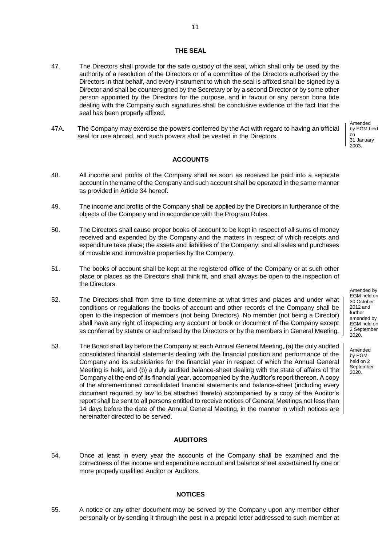#### **THE SEAL**

- 47. The Directors shall provide for the safe custody of the seal, which shall only be used by the authority of a resolution of the Directors or of a committee of the Directors authorised by the Directors in that behalf, and every instrument to which the seal is affixed shall be signed by a Director and shall be countersigned by the Secretary or by a second Director or by some other person appointed by the Directors for the purpose, and in favour or any person bona fide dealing with the Company such signatures shall be conclusive evidence of the fact that the seal has been properly affixed.
- 47A. The Company may exercise the powers conferred by the Act with regard to having an official seal for use abroad, and such powers shall be vested in the Directors.

Amended by EGM held on 31 January 2003.

# **ACCOUNTS**

- 48. All income and profits of the Company shall as soon as received be paid into a separate account in the name of the Company and such account shall be operated in the same manner as provided in Article 34 hereof.
- 49. The income and profits of the Company shall be applied by the Directors in furtherance of the objects of the Company and in accordance with the Program Rules.
- 50. The Directors shall cause proper books of account to be kept in respect of all sums of money received and expended by the Company and the matters in respect of which receipts and expenditure take place; the assets and liabilities of the Company; and all sales and purchases of movable and immovable properties by the Company.
- 51. The books of account shall be kept at the registered office of the Company or at such other place or places as the Directors shall think fit, and shall always be open to the inspection of the Directors.
- 52. The Directors shall from time to time determine at what times and places and under what conditions or regulations the books of account and other records of the Company shall be open to the inspection of members (not being Directors). No member (not being a Director) shall have any right of inspecting any account or book or document of the Company except as conferred by statute or authorised by the Directors or by the members in General Meeting.
- 53. The Board shall lay before the Company at each Annual General Meeting, (a) the duly audited consolidated financial statements dealing with the financial position and performance of the Company and its subsidiaries for the financial year in respect of which the Annual General Meeting is held, and (b) a duly audited balance-sheet dealing with the state of affairs of the Company at the end of its financial year, accompanied by the Auditor's report thereon. A copy of the aforementioned consolidated financial statements and balance-sheet (including every document required by law to be attached thereto) accompanied by a copy of the Auditor's report shall be sent to all persons entitled to receive notices of General Meetings not less than 14 days before the date of the Annual General Meeting, in the manner in which notices are hereinafter directed to be served.

## **AUDITORS**

54. Once at least in every year the accounts of the Company shall be examined and the correctness of the income and expenditure account and balance sheet ascertained by one or more properly qualified Auditor or Auditors.

### **NOTICES**

55. A notice or any other document may be served by the Company upon any member either personally or by sending it through the post in a prepaid letter addressed to such member at

Amended by EGM held on 30 October 2012 and further amended by EGM held on 2 September 2020.

Amended by EGM held on 2 **September** 2020.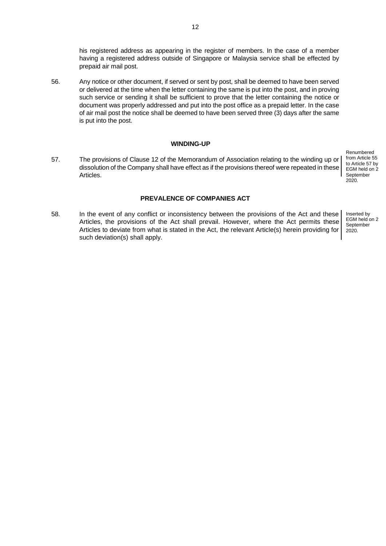56. Any notice or other document, if served or sent by post, shall be deemed to have been served or delivered at the time when the letter containing the same is put into the post, and in proving such service or sending it shall be sufficient to prove that the letter containing the notice or document was properly addressed and put into the post office as a prepaid letter. In the case of air mail post the notice shall be deemed to have been served three (3) days after the same is put into the post.

# **WINDING-UP**

57. The provisions of Clause 12 of the Memorandum of Association relating to the winding up or dissolution of the Company shall have effect as if the provisions thereof were repeated in these Articles.

Renumbered from Article 55 to Article 57 by EGM held on 2 September 2020.

#### **PREVALENCE OF COMPANIES ACT**

58. In the event of any conflict or inconsistency between the provisions of the Act and these Articles, the provisions of the Act shall prevail. However, where the Act permits these Articles to deviate from what is stated in the Act, the relevant Article(s) herein providing for such deviation(s) shall apply.

Inserted by EGM held on 2 **September** 2020.